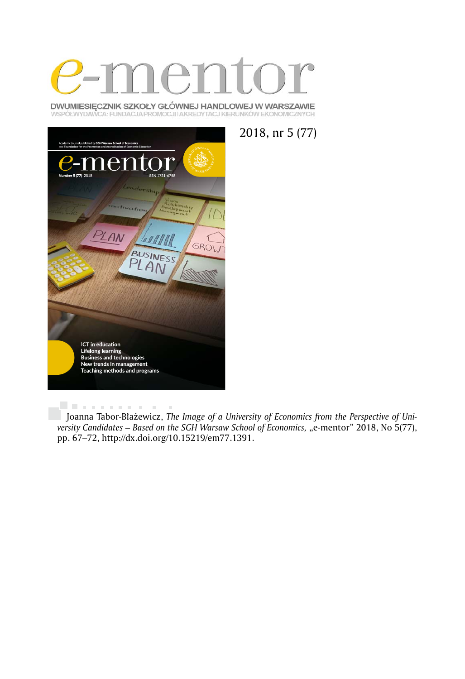

DWUMIESIĘCZNIK SZKOŁY GŁÓWNEJ HANDLOWEJ W WARSZAWIE WSPÓŁWYDAWCA: FUNDACJA PROMOCJI I AKREDYTACJ KIERUNKÓW EKONOMICZNYCH



2018, nr 5 (77)

. . . . . . . . . . .  $\alpha$ Joanna Tabor-Błażewicz, *The Image of a University of Economics from the Perspective of University Candidates - Based on the SGH Warsaw School of Economics, "e-mentor" 2018, No 5(77),* pp. 67–72, http://dx.doi.org/10.15219/em77.1391.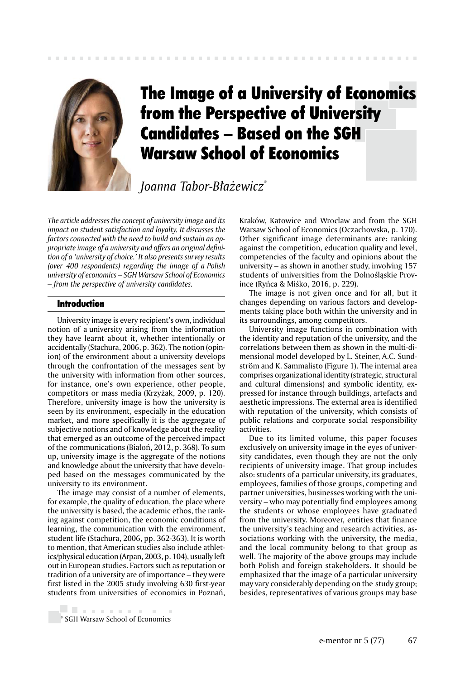

# The Image of a University of Economics from the Perspective of University Candidates – Based on the SGH Warsaw School of Economics

*Joanna Tabor-Błażewicz*\*

*The article addresses the concept of university image and its impact on student satisfaction and loyalty. It discusses the factors connected with the need to build and sustain an appropriate image of a university and offers an original definition of a 'university of choice.' It also presents survey results (over 400 respondents) regarding the image of a Polish university of economics – SGH Warsaw School of Economics – from the perspective of university candidates.*

## Introduction

University image is every recipient's own, individual notion of a university arising from the information they have learnt about it, whether intentionally or accidentally (Stachura, 2006, p. 362). The notion (opinion) of the environment about a university develops through the confrontation of the messages sent by the university with information from other sources, for instance, one's own experience, other people, competitors or mass media (Krzyżak, 2009, p. 120). Therefore, university image is how the university is seen by its environment, especially in the education market, and more specifically it is the aggregate of subjective notions and of knowledge about the reality that emerged as an outcome of the perceived impact of the communications (Białoń, 2012, p. 368). To sum up, university image is the aggregate of the notions and knowledge about the university that have developed based on the messages communicated by the university to its environment.

The image may consist of a number of elements, for example, the quality of education, the place where the university is based, the academic ethos, the ranking against competition, the economic conditions of learning, the communication with the environment, student life (Stachura, 2006, pp. 362-363). It is worth to mention, that American studies also include athletics/physical education (Arpan, 2003, p. 104), usually left out in European studies. Factors such as reputation or tradition of a university are of importance – they were first listed in the 2005 study involving 630 first-year students from universities of economics in Poznań,

Kraków, Katowice and Wrocław and from the SGH Warsaw School of Economics (Oczachowska, p. 170). Other significant image determinants are: ranking against the competition, education quality and level, competencies of the faculty and opinions about the university – as shown in another study, involving 157 students of universities from the Dolnośląskie Province (Ryńca & Miśko, 2016, p. 229).

The image is not given once and for all, but it changes depending on various factors and developments taking place both within the university and in its surroundings, among competitors.

University image functions in combination with the identity and reputation of the university, and the correlations between them as shown in the multi-dimensional model developed by L. Steiner, A.C. Sundström and K. Sammalisto (Figure 1). The internal area comprises organizational identity (strategic, structural and cultural dimensions) and symbolic identity, expressed for instance through buildings, artefacts and aesthetic impressions. The external area is identified with reputation of the university, which consists of public relations and corporate social responsibility activities.

Due to its limited volume, this paper focuses exclusively on university image in the eyes of university candidates, even though they are not the only recipients of university image. That group includes also: students of a particular university, its graduates, employees, families of those groups, competing and partner universities, businesses working with the university – who may potentially find employees among the students or whose employees have graduated from the university. Moreover, entities that finance the university's teaching and research activities, associations working with the university, the media, and the local community belong to that group as well. The majority of the above groups may include both Polish and foreign stakeholders. It should be emphasized that the image of a particular university may vary considerably depending on the study group; besides, representatives of various groups may base

<sup>. . . . . . . . . .</sup> \* SGH Warsaw School of Economics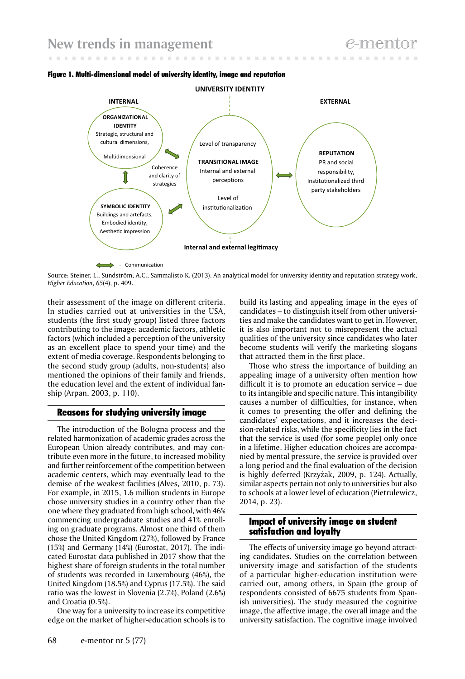



Source: Steiner, L., Sundström, A.C., Sammalisto K. (2013). An analytical model for university identity and reputation strategy work, *Higher Education*, *65*(4), p. 409.

their assessment of the image on different criteria. In studies carried out at universities in the USA, students (the first study group) listed three factors contributing to the image: academic factors, athletic factors (which included a perception of the university as an excellent place to spend your time) and the extent of media coverage. Respondents belonging to the second study group (adults, non-students) also mentioned the opinions of their family and friends, the education level and the extent of individual fanship (Arpan, 2003, p. 110).

## Reasons for studying university image

The introduction of the Bologna process and the related harmonization of academic grades across the European Union already contributes, and may contribute even more in the future, to increased mobility and further reinforcement of the competition between academic centers, which may eventually lead to the demise of the weakest facilities (Alves, 2010, p. 73). For example, in 2015, 1.6 million students in Europe chose university studies in a country other than the one where they graduated from high school, with 46% commencing undergraduate studies and 41% enrolling on graduate programs. Almost one third of them chose the United Kingdom (27%), followed by France (15%) and Germany (14%) (Eurostat, 2017). The indicated Eurostat data published in 2017 show that the highest share of foreign students in the total number of students was recorded in Luxembourg (46%), the United Kingdom (18.5%) and Cyprus (17.5%). The said ratio was the lowest in Slovenia (2.7%), Poland (2.6%) and Croatia (0.5%).

One way for a university to increase its competitive edge on the market of higher-education schools is to build its lasting and appealing image in the eyes of candidates – to distinguish itself from other universities and make the candidates want to get in. However, it is also important not to misrepresent the actual qualities of the university since candidates who later become students will verify the marketing slogans that attracted them in the first place.

Those who stress the importance of building an appealing image of a university often mention how difficult it is to promote an education service – due to its intangible and specific nature. This intangibility causes a number of difficulties, for instance, when it comes to presenting the offer and defining the candidates' expectations, and it increases the decision-related risks, while the specificity lies in the fact that the service is used (for some people) only once in a lifetime. Higher education choices are accompanied by mental pressure, the service is provided over a long period and the final evaluation of the decision is highly deferred (Krzyżak, 2009, p. 124). Actually, similar aspects pertain not only to universities but also to schools at a lower level of education (Pietrulewicz, 2014, p. 23).

## Impact of university image on student satisfaction and loyalty

The effects of university image go beyond attracting candidates. Studies on the correlation between university image and satisfaction of the students of a particular higher-education institution were carried out, among others, in Spain (the group of respondents consisted of 6675 students from Spanish universities). The study measured the cognitive image, the affective image, the overall image and the university satisfaction. The cognitive image involved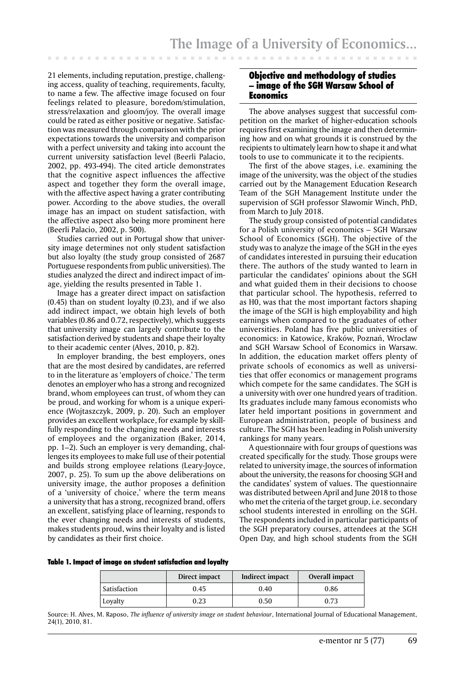21 elements, including reputation, prestige, challenging access, quality of teaching, requirements, faculty, to name a few. The affective image focused on four feelings related to pleasure, boredom/stimulation, stress/relaxation and gloom/joy. The overall image could be rated as either positive or negative. Satisfaction was measured through comparison with the prior expectations towards the university and comparison with a perfect university and taking into account the current university satisfaction level (Beerli Palacio, 2002, pp. 493-494). The cited article demonstrates that the cognitive aspect influences the affective aspect and together they form the overall image, with the affective aspect having a grater contributing power. According to the above studies, the overall image has an impact on student satisfaction, with the affective aspect also being more prominent here (Beerli Palacio, 2002, p. 500).

Studies carried out in Portugal show that university image determines not only student satisfaction but also loyalty (the study group consisted of 2687 Portuguese respondents from public universities). The studies analyzed the direct and indirect impact of image, yielding the results presented in Table 1.

Image has a greater direct impact on satisfaction (0.45) than on student loyalty (0.23), and if we also add indirect impact, we obtain high levels of both variables (0.86 and 0.72, respectively), which suggests that university image can largely contribute to the satisfaction derived by students and shape their loyalty to their academic center (Alves, 2010, p. 82).

In employer branding, the best employers, ones that are the most desired by candidates, are referred to in the literature as 'employers of choice.' The term denotes an employer who has a strong and recognized brand, whom employees can trust, of whom they can be proud, and working for whom is a unique experience (Wojtaszczyk, 2009, p. 20). Such an employer provides an excellent workplace, for example by skillfully responding to the changing needs and interests of employees and the organization (Baker, 2014, pp. 1–2). Such an employer is very demanding, challenges its employees to make full use of their potential and builds strong employee relations (Leary-Joyce, 2007, p. 25). To sum up the above deliberations on university image, the author proposes a definition of a 'university of choice,' where the term means a university that has a strong, recognized brand, offers an excellent, satisfying place of learning, responds to the ever changing needs and interests of students, makes students proud, wins their loyalty and is listed by candidates as their first choice.

#### Objective and methodology of studies – image of the SGH Warsaw School of Economics

The above analyses suggest that successful competition on the market of higher-education schools requires first examining the image and then determining how and on what grounds it is construed by the recipients to ultimately learn how to shape it and what tools to use to communicate it to the recipients.

The first of the above stages, i.e. examining the image of the university, was the object of the studies carried out by the Management Education Research Team of the SGH Management Institute under the supervision of SGH professor Sławomir Winch, PhD, from March to July 2018.

The study group consisted of potential candidates for a Polish university of economics – SGH Warsaw School of Economics (SGH). The objective of the study was to analyze the image of the SGH in the eyes of candidates interested in pursuing their education there. The authors of the study wanted to learn in particular the candidates' opinions about the SGH and what guided them in their decisions to choose that particular school. The hypothesis, referred to as H0, was that the most important factors shaping the image of the SGH is high employability and high earnings when compared to the graduates of other universities. Poland has five public universities of economics: in Katowice, Kraków, Poznań, Wrocław and SGH Warsaw School of Economics in Warsaw. In addition, the education market offers plenty of private schools of economics as well as universities that offer economics or management programs which compete for the same candidates. The SGH is a university with over one hundred years of tradition. Its graduates include many famous economists who later held important positions in government and European administration, people of business and culture. The SGH has been leading in Polish university rankings for many years.

A questionnaire with four groups of questions was created specifically for the study. Those groups were related to university image, the sources of information about the university, the reasons for choosing SGH and the candidates' system of values. The questionnaire was distributed between April and June 2018 to those who met the criteria of the target group, i.e. secondary school students interested in enrolling on the SGH. The respondents included in particular participants of the SGH preparatory courses, attendees at the SGH Open Day, and high school students from the SGH

#### Table 1. Impact of image on student satisfaction and loyalty

|              | Direct impact | Indirect impact | Overall impact |
|--------------|---------------|-----------------|----------------|
| Satisfaction | 0.45          | 0.40            | 0.86           |
| Loyalty      | 0.23          | 0.50            | 0.73           |

Source: H. Alves, M. Raposo, *The influence of university image on student behaviour*, International Journal of Educational Management, 24(1), 2010, 81.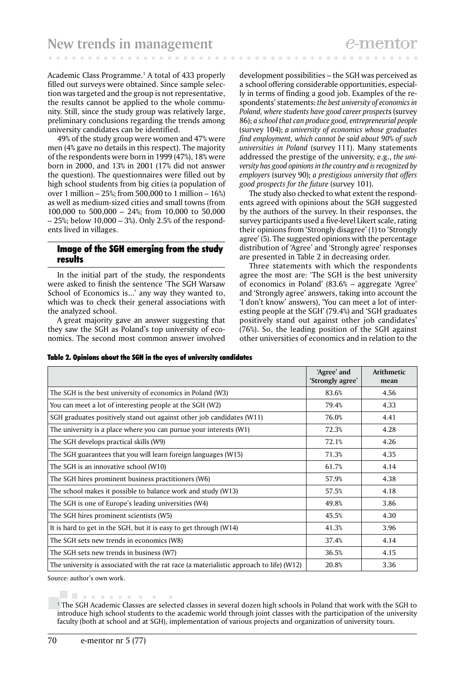Academic Class Programme.1 A total of 433 properly filled out surveys were obtained. Since sample selection was targeted and the group is not representative, the results cannot be applied to the whole community. Still, since the study group was relatively large, preliminary conclusions regarding the trends among university candidates can be identified.

49% of the study group were women and 47% were men (4% gave no details in this respect). The majority of the respondents were born in 1999 (47%), 18% were born in 2000, and 13% in 2001 (17% did not answer the question). The questionnaires were filled out by high school students from big cities (a population of over 1 million – 25%; from 500,000 to 1 million – 16%) as well as medium-sized cities and small towns (from 100,000 to 500,000 – 24%; from 10,000 to 50,000 – 25%; below 10,000 – 3%). Only 2.5% of the respondents lived in villages.

#### Image of the SGH emerging from the study results

In the initial part of the study, the respondents were asked to finish the sentence 'The SGH Warsaw School of Economics is...' any way they wanted to, which was to check their general associations with the analyzed school.

A great majority gave an answer suggesting that they saw the SGH as Poland's top university of economics. The second most common answer involved

development possibilities – the SGH was perceived as a school offering considerable opportunities, especially in terms of finding a good job. Examples of the respondents' statements: *the best university of economics in Poland, where students have good career prospect*s (survey 86); *a school that can produce good, entrepreneurial people* (survey 104); *a university of economics whose graduates find employment, which cannot be said about 90% of such universities in Poland* (survey 111). Many statements addressed the prestige of the university, e.g., *the university has good opinions in the country and is recognized by employers* (survey 90); *a prestigious university that offers good prospects for the future* (survey 101).

The study also checked to what extent the respondents agreed with opinions about the SGH suggested by the authors of the survey. In their responses, the survey participants used a five-level Likert scale, rating their opinions from 'Strongly disagree' (1) to 'Strongly agree' (5). The suggested opinions with the percentage distribution of 'Agree' and 'Strongly agree' responses are presented in Table 2 in decreasing order.

Three statements with which the respondents agree the most are: 'The SGH is the best university of economics in Poland' (83.6% – aggregate 'Agree' and 'Strongly agree' answers, taking into account the 'I don't know' answers), 'You can meet a lot of interesting people at the SGH' (79.4%) and 'SGH graduates positively stand out against other job candidates' (76%). So, the leading position of the SGH against other universities of economics and in relation to the

|  |  |  |  |  |  |  |  | Table 2. Opinions about the SGH in the eyes of university candidates |
|--|--|--|--|--|--|--|--|----------------------------------------------------------------------|
|--|--|--|--|--|--|--|--|----------------------------------------------------------------------|

|                                                                                           | 'Agree' and<br>'Strongly agree' | Arithmetic<br>mean |
|-------------------------------------------------------------------------------------------|---------------------------------|--------------------|
| The SGH is the best university of economics in Poland (W3)                                | 83.6%                           | 4.56               |
| You can meet a lot of interesting people at the SGH (W2)                                  | 79.4%                           | 4.33               |
| SGH graduates positively stand out against other job candidates (W11)                     | 76.0%                           | 4.41               |
| The university is a place where you can pursue your interests $(W1)$                      | 72.3%                           | 4.28               |
| The SGH develops practical skills (W9)                                                    | 72.1%                           | 4.26               |
| The SGH guarantees that you will learn foreign languages (W15)                            | 71.3%                           | 4.35               |
| The SGH is an innovative school (W10)                                                     | 61.7%                           | 4.14               |
| The SGH hires prominent business practitioners (W6)                                       | 57.9%                           | 4.38               |
| The school makes it possible to balance work and study (W13)                              | 57.5%                           | 4.18               |
| The SGH is one of Europe's leading universities (W4)                                      | 49.8%                           | 3.86               |
| The SGH hires prominent scientists (W5)                                                   | 45.5%                           | 4.30               |
| It is hard to get in the SGH, but it is easy to get through (W14)                         | 41.3%                           | 3.96               |
| The SGH sets new trends in economics (W8)                                                 | 37.4%                           | 4.14               |
| The SGH sets new trends in business (W7)                                                  | 36.5%                           | 4.15               |
| The university is associated with the rat race (a materialistic approach to life) $(W12)$ | 20.8%                           | 3.36               |

Source: author's own work.

. . . . . . . . .

<sup>1</sup> The SGH Academic Classes are selected classes in several dozen high schools in Poland that work with the SGH to introduce high school students to the academic world through joint classes with the participation of the university faculty (both at school and at SGH), implementation of various projects and organization of university tours.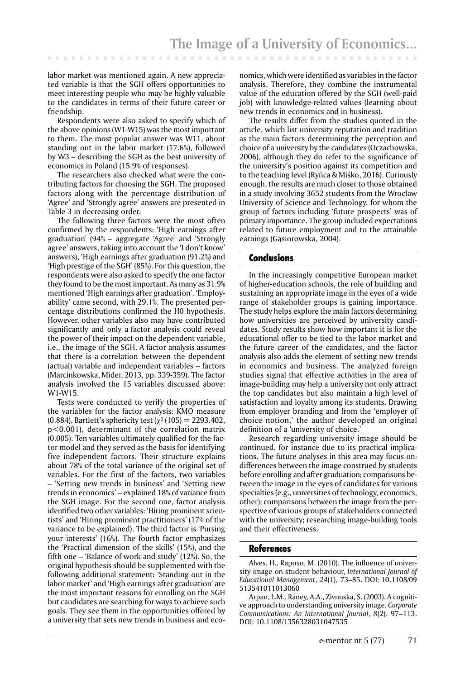labor market was mentioned again. A new appreciated variable is that the SGH offers opportunities to meet interesting people who may be highly valuable to the candidates in terms of their future career or friendship.

Respondents were also asked to specify which of the above opinions (W1-W15) was the most important to them. The most popular answer was W11, about standing out in the labor market (17.6%), followed by W3 – describing the SGH as the best university of economics in Poland (15.9% of responses).

The researchers also checked what were the contributing factors for choosing the SGH. The proposed factors along with the percentage distribution of 'Agree' and 'Strongly agree' answers are presented in Table 3 in decreasing order.

The following three factors were the most often confirmed by the respondents: 'High earnings after graduation' (94% – aggregate 'Agree' and 'Strongly agree' answers, taking into account the 'I don't know' answers), 'High earnings after graduation (91.2%) and 'High prestige of the SGH' (85%). For this question, the respondents were also asked to specify the one factor they found to be the most important. As many as 31.9% mentioned 'High earnings after graduation'. 'Employability' came second, with 29.1%. The presented percentage distributions confirmed the H0 hypothesis. However, other variables also may have contributed significantly and only a factor analysis could reveal the power of their impact on the dependent variable, i.e., the image of the SGH. A factor analysis assumes that there is a correlation between the dependent (actual) variable and independent variables – factors (Marcinkowska, Mider, 2013, pp. 339-359). The factor analysis involved the 15 variables discussed above: W1-W15.

Tests were conducted to verify the properties of the variables for the factor analysis: KMO measure (0.884), Bartlett's sphericity test ( $\chi^2$  (105) = 2293.402, p<0.001), determinant of the correlation matrix (0.005). Ten variables ultimately qualified for the factor model and they served as the basis for identifying five independent factors. Their structure explains about 78% of the total variance of the original set of variables. For the first of the factors, two variables – 'Setting new trends in business' and 'Setting new trends in economics' – explained 18% of variance from the SGH image. For the second one, factor analysis identified two other variables: 'Hiring prominent scientists' and 'Hiring prominent practitioners' (17% of the variance to be explained). The third factor is 'Pursing your interests' (16%). The fourth factor emphasizes the 'Practical dimension of the skills' (15%), and the fifth one – 'Balance of work and study' (12%). So, the original hypothesis should be supplemented with the following additional statement: 'Standing out in the labor market' and 'High earnings after graduation' are the most important reasons for enrolling on the SGH but candidates are searching for ways to achieve such goals. They see them in the opportunities offered by a university that sets new trends in business and eco-

nomics, which were identified as variables in the factor analysis. Therefore, they combine the instrumental value of the education offered by the SGH (well-paid job) with knowledge-related values (learning about new trends in economics and in business).

The results differ from the studies quoted in the article, which list university reputation and tradition as the main factors determining the perception and choice of a university by the candidates (Oczachowska, 2006), although they do refer to the significance of the university's position against its competition and to the teaching level (Ryńca & Miśko, 2016). Curiously enough, the results are much closer to those obtained in a study involving 3652 students from the Wrocław University of Science and Technology, for whom the group of factors including 'future prospects' was of primary importance. The group included expectations related to future employment and to the attainable earnings (Gąsiorowska, 2004).

#### Conclusions

In the increasingly competitive European market of higher-education schools, the role of building and sustaining an appropriate image in the eyes of a wide range of stakeholder groups is gaining importance. The study helps explore the main factors determining how universities are perceived by university candidates. Study results show how important it is for the educational offer to be tied to the labor market and the future career of the candidates, and the factor analysis also adds the element of setting new trends in economics and business. The analyzed foreign studies signal that effective activities in the area of image-building may help a university not only attract the top candidates but also maintain a high level of satisfaction and loyalty among its students. Drawing from employer branding and from the 'employer of choice notion,' the author developed an original definition of a 'university of choice.'

Research regarding university image should be continued, for instance due to its practical implications. The future analyses in this area may focus on: differences between the image construed by students before enrolling and after graduation; comparisons between the image in the eyes of candidates for various specialties (e.g., universities of technology, economics, other); comparisons between the image from the perspective of various groups of stakeholders connected with the university; researching image-building tools and their effectiveness.

#### **References**

Alves, H., Raposo, M. (2010). The influence of university image on student behaviour, *International Journal of Educational Management*, *24*(1), 73–85. DOI: 10.1108/09 513541011013060

Arpan, L.M., Raney, A.A., Zivnuska, S. (2003). A cognitive approach to understanding university image, *Corporate Communications: An International Journal*, *8*(2), 97–113. DOI: 10.1108/1356328031047535